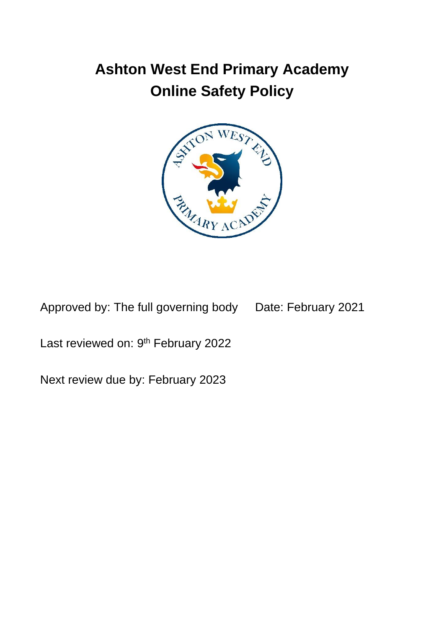# **Ashton West End Primary Academy Online Safety Policy**



Approved by: The full governing body Date: February 2021

Last reviewed on: 9<sup>th</sup> February 2022

Next review due by: February 2023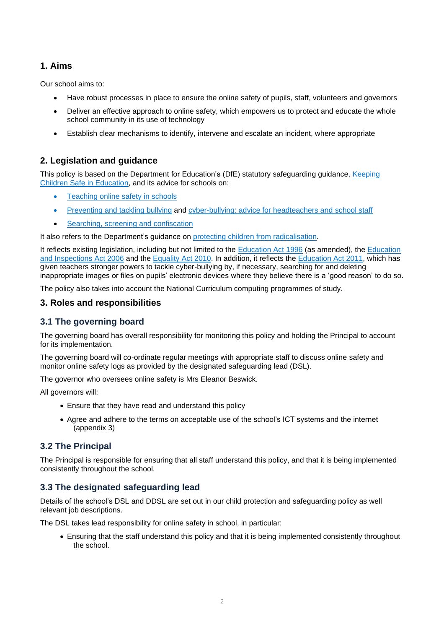#### **1. Aims**

Our school aims to:

- Have robust processes in place to ensure the online safety of pupils, staff, volunteers and governors
- Deliver an effective approach to online safety, which empowers us to protect and educate the whole school community in its use of technology
- Establish clear mechanisms to identify, intervene and escalate an incident, where appropriate

### **2. Legislation and guidance**

This policy is based on the Department for Education's (DfE) statutory safeguarding guidance, [Keeping](https://www.gov.uk/government/publications/keeping-children-safe-in-education--2)  [Children Safe in Education,](https://www.gov.uk/government/publications/keeping-children-safe-in-education--2) and its advice for schools on:

- [Teaching online safety in schools](https://www.gov.uk/government/publications/teaching-online-safety-in-schools)
- [Preventing and tackling bullying](https://www.gov.uk/government/publications/preventing-and-tackling-bullying) and [cyber-bullying: advice for headteachers and](https://www.gov.uk/government/publications/preventing-and-tackling-bullying) school staff
- [Searching, screening and confiscation](https://www.gov.uk/government/publications/searching-screening-and-confiscation)

It also refers to the Department's guidance on [protecting children from radicalisation.](https://www.gov.uk/government/publications/protecting-children-from-radicalisation-the-prevent-duty)

It reflects existing legislation, including but not limited to the [Education Act 1996](https://www.legislation.gov.uk/ukpga/1996/56/contents) (as amended), the [Education](https://www.legislation.gov.uk/ukpga/2006/40/contents) [and Inspections Act 2006](https://www.legislation.gov.uk/ukpga/2006/40/contents) and the [Equality Act 2010.](https://www.legislation.gov.uk/ukpga/2010/15/contents) In addition, it reflects the [Education Act 2011,](http://www.legislation.gov.uk/ukpga/2011/21/contents/enacted) which has given teachers stronger powers to tackle cyber-bullying by, if necessary, searching for and deleting inappropriate images or files on pupils' electronic devices where they believe there is a 'good reason' to do so.

The policy also takes into account the National Curriculum computing programmes of study.

#### **3. Roles and responsibilities**

#### **3.1 The governing board**

The governing board has overall responsibility for monitoring this policy and holding the Principal to account for its implementation.

The governing board will co-ordinate regular meetings with appropriate staff to discuss online safety and monitor online safety logs as provided by the designated safeguarding lead (DSL).

The governor who oversees online safety is Mrs Eleanor Beswick.

All governors will:

- Ensure that they have read and understand this policy
- Agree and adhere to the terms on acceptable use of the school's ICT systems and the internet (appendix 3)

#### **3.2 The Principal**

The Principal is responsible for ensuring that all staff understand this policy, and that it is being implemented consistently throughout the school.

#### **3.3 The designated safeguarding lead**

Details of the school's DSL and DDSL are set out in our child protection and safeguarding policy as well relevant job descriptions.

The DSL takes lead responsibility for online safety in school, in particular:

• Ensuring that the staff understand this policy and that it is being implemented consistently throughout the school.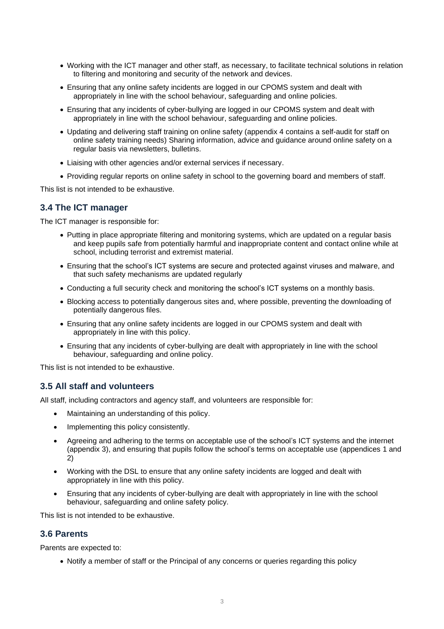- Working with the ICT manager and other staff, as necessary, to facilitate technical solutions in relation to filtering and monitoring and security of the network and devices.
- Ensuring that any online safety incidents are logged in our CPOMS system and dealt with appropriately in line with the school behaviour, safeguarding and online policies.
- Ensuring that any incidents of cyber-bullying are logged in our CPOMS system and dealt with appropriately in line with the school behaviour, safeguarding and online policies.
- Updating and delivering staff training on online safety (appendix 4 contains a self-audit for staff on online safety training needs) Sharing information, advice and guidance around online safety on a regular basis via newsletters, bulletins.
- Liaising with other agencies and/or external services if necessary.
- Providing regular reports on online safety in school to the governing board and members of staff.

This list is not intended to be exhaustive.

#### **3.4 The ICT manager**

The ICT manager is responsible for:

- Putting in place appropriate filtering and monitoring systems, which are updated on a regular basis and keep pupils safe from potentially harmful and inappropriate content and contact online while at school, including terrorist and extremist material.
- Ensuring that the school's ICT systems are secure and protected against viruses and malware, and that such safety mechanisms are updated regularly
- Conducting a full security check and monitoring the school's ICT systems on a monthly basis.
- Blocking access to potentially dangerous sites and, where possible, preventing the downloading of potentially dangerous files.
- Ensuring that any online safety incidents are logged in our CPOMS system and dealt with appropriately in line with this policy.
- Ensuring that any incidents of cyber-bullying are dealt with appropriately in line with the school behaviour, safeguarding and online policy.

This list is not intended to be exhaustive.

#### **3.5 All staff and volunteers**

All staff, including contractors and agency staff, and volunteers are responsible for:

- Maintaining an understanding of this policy.
- Implementing this policy consistently.
- Agreeing and adhering to the terms on acceptable use of the school's ICT systems and the internet (appendix 3), and ensuring that pupils follow the school's terms on acceptable use (appendices 1 and 2)
- Working with the DSL to ensure that any online safety incidents are logged and dealt with appropriately in line with this policy.
- Ensuring that any incidents of cyber-bullying are dealt with appropriately in line with the school behaviour, safeguarding and online safety policy.

This list is not intended to be exhaustive.

#### **3.6 Parents**

Parents are expected to:

• Notify a member of staff or the Principal of any concerns or queries regarding this policy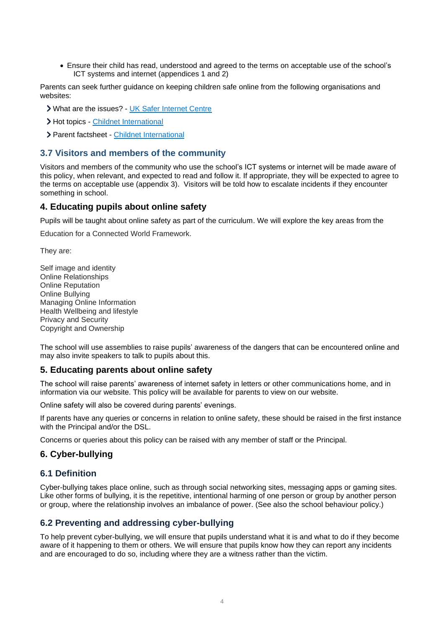• Ensure their child has read, understood and agreed to the terms on acceptable use of the school's ICT systems and internet (appendices 1 and 2)

Parents can seek further guidance on keeping children safe online from the following organisations and websites:

What are the issues? - [UK Safer Internet Centre](https://www.saferinternet.org.uk/advice-centre/parents-and-carers/what-are-issues)

> Hot topics - [Childnet International](http://www.childnet.com/parents-and-carers/hot-topics)

> Parent factsheet - [Childnet International](https://www.childnet.com/resources/parents-and-carers-resource-sheet)

#### **3.7 Visitors and members of the community**

Visitors and members of the community who use the school's ICT systems or internet will be made aware of this policy, when relevant, and expected to read and follow it. If appropriate, they will be expected to agree to the terms on acceptable use (appendix 3). Visitors will be told how to escalate incidents if they encounter something in school.

#### **4. Educating pupils about online safety**

Pupils will be taught about online safety as part of the curriculum. We will explore the key areas from the

Education for a Connected World Framework.

They are:

Self image and identity Online Relationships Online Reputation Online Bullying Managing Online Information Health Wellbeing and lifestyle Privacy and Security Copyright and Ownership

The school will use assemblies to raise pupils' awareness of the dangers that can be encountered online and may also invite speakers to talk to pupils about this.

#### **5. Educating parents about online safety**

The school will raise parents' awareness of internet safety in letters or other communications home, and in information via our website. This policy will be available for parents to view on our website.

Online safety will also be covered during parents' evenings.

If parents have any queries or concerns in relation to online safety, these should be raised in the first instance with the Principal and/or the DSL.

Concerns or queries about this policy can be raised with any member of staff or the Principal.

#### **6. Cyber-bullying**

#### **6.1 Definition**

Cyber-bullying takes place online, such as through social networking sites, messaging apps or gaming sites. Like other forms of bullying, it is the repetitive, intentional harming of one person or group by another person or group, where the relationship involves an imbalance of power. (See also the school behaviour policy.)

#### **6.2 Preventing and addressing cyber-bullying**

To help prevent cyber-bullying, we will ensure that pupils understand what it is and what to do if they become aware of it happening to them or others. We will ensure that pupils know how they can report any incidents and are encouraged to do so, including where they are a witness rather than the victim.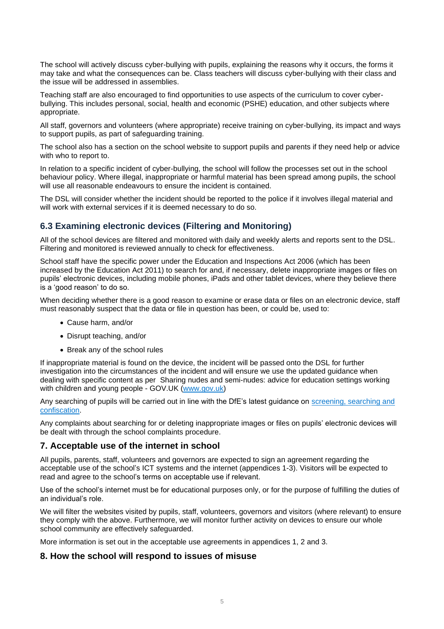The school will actively discuss cyber-bullying with pupils, explaining the reasons why it occurs, the forms it may take and what the consequences can be. Class teachers will discuss cyber-bullying with their class and the issue will be addressed in assemblies.

Teaching staff are also encouraged to find opportunities to use aspects of the curriculum to cover cyberbullying. This includes personal, social, health and economic (PSHE) education, and other subjects where appropriate.

All staff, governors and volunteers (where appropriate) receive training on cyber-bullying, its impact and ways to support pupils, as part of safeguarding training.

The school also has a section on the school website to support pupils and parents if they need help or advice with who to report to.

In relation to a specific incident of cyber-bullying, the school will follow the processes set out in the school behaviour policy. Where illegal, inappropriate or harmful material has been spread among pupils, the school will use all reasonable endeavours to ensure the incident is contained.

The DSL will consider whether the incident should be reported to the police if it involves illegal material and will work with external services if it is deemed necessary to do so.

#### **6.3 Examining electronic devices (Filtering and Monitoring)**

All of the school devices are filtered and monitored with daily and weekly alerts and reports sent to the DSL. Filtering and monitored is reviewed annually to check for effectiveness.

School staff have the specific power under the Education and Inspections Act 2006 (which has been increased by the Education Act 2011) to search for and, if necessary, delete inappropriate images or files on pupils' electronic devices, including mobile phones, iPads and other tablet devices, where they believe there is a 'good reason' to do so.

When deciding whether there is a good reason to examine or erase data or files on an electronic device, staff must reasonably suspect that the data or file in question has been, or could be, used to:

- Cause harm, and/or
- Disrupt teaching, and/or
- Break any of the school rules

If inappropriate material is found on the device, the incident will be passed onto the DSL for further investigation into the circumstances of the incident and will ensure we use the updated guidance when dealing with specific content as per Sharing nudes and semi-nudes: advice for education settings working with children and young people - GOV.UK [\(www.gov.uk\)](http://www.gov.uk/)

Any searching of pupils will be carried out in line with the DfE's latest guidance on screening, searching and [confiscation.](https://www.gov.uk/government/publications/searching-screening-and-confiscation)

Any complaints about searching for or deleting inappropriate images or files on pupils' electronic devices will be dealt with through the school complaints procedure.

#### **7. Acceptable use of the internet in school**

All pupils, parents, staff, volunteers and governors are expected to sign an agreement regarding the acceptable use of the school's ICT systems and the internet (appendices 1-3). Visitors will be expected to read and agree to the school's terms on acceptable use if relevant.

Use of the school's internet must be for educational purposes only, or for the purpose of fulfilling the duties of an individual's role.

We will filter the websites visited by pupils, staff, volunteers, governors and visitors (where relevant) to ensure they comply with the above. Furthermore, we will monitor further activity on devices to ensure our whole school community are effectively safeguarded.

More information is set out in the acceptable use agreements in appendices 1, 2 and 3.

#### **8. How the school will respond to issues of misuse**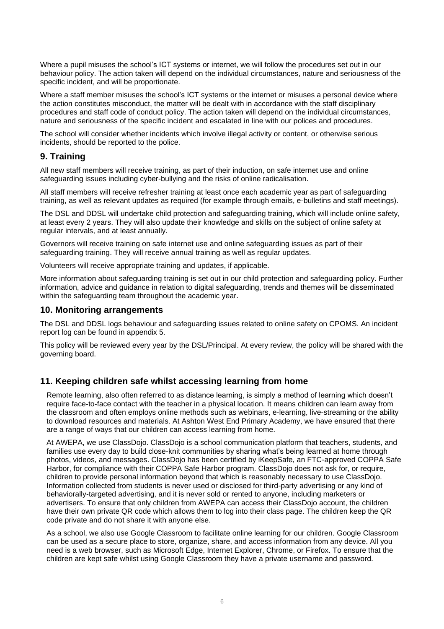Where a pupil misuses the school's ICT systems or internet, we will follow the procedures set out in our behaviour policy. The action taken will depend on the individual circumstances, nature and seriousness of the specific incident, and will be proportionate.

Where a staff member misuses the school's ICT systems or the internet or misuses a personal device where the action constitutes misconduct, the matter will be dealt with in accordance with the staff disciplinary procedures and staff code of conduct policy. The action taken will depend on the individual circumstances, nature and seriousness of the specific incident and escalated in line with our polices and procedures.

The school will consider whether incidents which involve illegal activity or content, or otherwise serious incidents, should be reported to the police.

#### **9. Training**

All new staff members will receive training, as part of their induction, on safe internet use and online safeguarding issues including cyber-bullying and the risks of online radicalisation.

All staff members will receive refresher training at least once each academic year as part of safeguarding training, as well as relevant updates as required (for example through emails, e-bulletins and staff meetings).

The DSL and DDSL will undertake child protection and safeguarding training, which will include online safety, at least every 2 years. They will also update their knowledge and skills on the subject of online safety at regular intervals, and at least annually.

Governors will receive training on safe internet use and online safeguarding issues as part of their safeguarding training. They will receive annual training as well as regular updates.

Volunteers will receive appropriate training and updates, if applicable.

More information about safeguarding training is set out in our child protection and safeguarding policy. Further information, advice and guidance in relation to digital safeguarding, trends and themes will be disseminated within the safeguarding team throughout the academic year.

#### **10. Monitoring arrangements**

The DSL and DDSL logs behaviour and safeguarding issues related to online safety on CPOMS. An incident report log can be found in appendix 5.

This policy will be reviewed every year by the DSL/Principal. At every review, the policy will be shared with the governing board.

#### **11. Keeping children safe whilst accessing learning from home**

Remote learning, also often referred to as distance learning, is simply a method of learning which doesn't require face-to-face contact with the teacher in a physical location. It means children can learn away from the classroom and often employs online methods such as webinars, e-learning, live-streaming or the ability to download resources and materials. At Ashton West End Primary Academy, we have ensured that there are a range of ways that our children can access learning from home.

At AWEPA, we use ClassDojo. ClassDojo is a school communication platform that teachers, students, and families use every day to build close-knit communities by sharing what's being learned at home through photos, videos, and messages. ClassDojo has been certified by iKeepSafe, an FTC-approved COPPA Safe Harbor, for compliance with their COPPA Safe Harbor program. ClassDojo does not ask for, or require, children to provide personal information beyond that which is reasonably necessary to use ClassDojo. Information collected from students is never used or disclosed for third-party advertising or any kind of behaviorally-targeted advertising, and it is never sold or rented to anyone, including marketers or advertisers. To ensure that only children from AWEPA can access their ClassDojo account, the children have their own private QR code which allows them to log into their class page. The children keep the QR code private and do not share it with anyone else.

As a school, we also use Google Classroom to facilitate online learning for our children. Google Classroom can be used as a secure place to store, organize, share, and access information from any device. All you need is a web browser, such as Microsoft Edge, Internet Explorer, Chrome, or Firefox. To ensure that the children are kept safe whilst using Google Classroom they have a private username and password.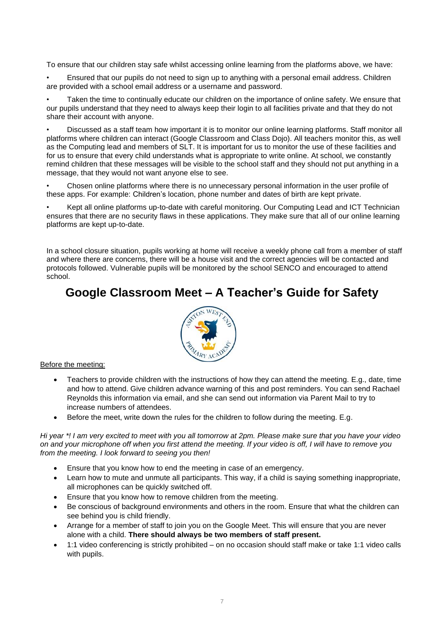To ensure that our children stay safe whilst accessing online learning from the platforms above, we have:

• Ensured that our pupils do not need to sign up to anything with a personal email address. Children are provided with a school email address or a username and password.

Taken the time to continually educate our children on the importance of online safety. We ensure that our pupils understand that they need to always keep their login to all facilities private and that they do not share their account with anyone.

• Discussed as a staff team how important it is to monitor our online learning platforms. Staff monitor all platforms where children can interact (Google Classroom and Class Dojo). All teachers monitor this, as well as the Computing lead and members of SLT. It is important for us to monitor the use of these facilities and for us to ensure that every child understands what is appropriate to write online. At school, we constantly remind children that these messages will be visible to the school staff and they should not put anything in a message, that they would not want anyone else to see.

• Chosen online platforms where there is no unnecessary personal information in the user profile of these apps. For example: Children's location, phone number and dates of birth are kept private.

• Kept all online platforms up-to-date with careful monitoring. Our Computing Lead and ICT Technician ensures that there are no security flaws in these applications. They make sure that all of our online learning platforms are kept up-to-date.

In a school closure situation, pupils working at home will receive a weekly phone call from a member of staff and where there are concerns, there will be a house visit and the correct agencies will be contacted and protocols followed. Vulnerable pupils will be monitored by the school SENCO and encouraged to attend school.

# **Google Classroom Meet – A Teacher's Guide for Safety**



#### Before the meeting:

- Teachers to provide children with the instructions of how they can attend the meeting. E.g., date, time and how to attend. Give children advance warning of this and post reminders. You can send Rachael Reynolds this information via email, and she can send out information via Parent Mail to try to increase numbers of attendees.
- Before the meet, write down the rules for the children to follow during the meeting. E.g.

*Hi year \*! I am very excited to meet with you all tomorrow at 2pm. Please make sure that you have your video on and your microphone off when you first attend the meeting. If your video is off, I will have to remove you from the meeting. I look forward to seeing you then!*

- Ensure that you know how to end the meeting in case of an emergency.
- Learn how to mute and unmute all participants. This way, if a child is saying something inappropriate, all microphones can be quickly switched off.
- Ensure that you know how to remove children from the meeting.
- Be conscious of background environments and others in the room. Ensure that what the children can see behind you is child friendly.
- Arrange for a member of staff to join you on the Google Meet. This will ensure that you are never alone with a child. **There should always be two members of staff present.**
- 1:1 video conferencing is strictly prohibited on no occasion should staff make or take 1:1 video calls with pupils.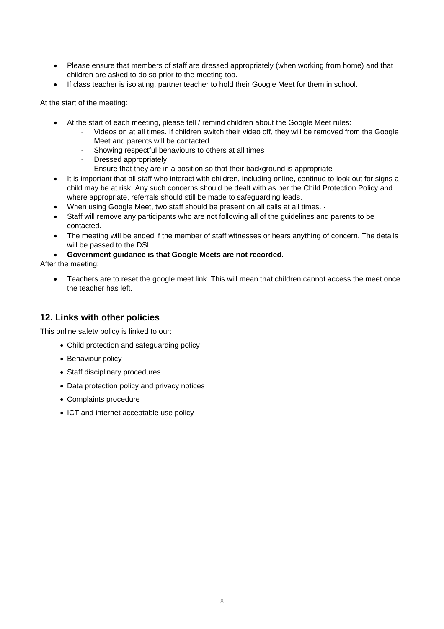- Please ensure that members of staff are dressed appropriately (when working from home) and that children are asked to do so prior to the meeting too.
- If class teacher is isolating, partner teacher to hold their Google Meet for them in school.

#### At the start of the meeting:

- At the start of each meeting, please tell / remind children about the Google Meet rules:
	- Videos on at all times. If children switch their video off, they will be removed from the Google Meet and parents will be contacted
	- Showing respectful behaviours to others at all times
	- Dressed appropriately
	- Ensure that they are in a position so that their background is appropriate
- It is important that all staff who interact with children, including online, continue to look out for signs a child may be at risk. Any such concerns should be dealt with as per the Child Protection Policy and where appropriate, referrals should still be made to safeguarding leads.
- When using Google Meet, two staff should be present on all calls at all times.  $\cdot$
- Staff will remove any participants who are not following all of the guidelines and parents to be contacted.
- The meeting will be ended if the member of staff witnesses or hears anything of concern. The details will be passed to the DSL.

#### • **Government guidance is that Google Meets are not recorded.**

After the meeting:

• Teachers are to reset the google meet link. This will mean that children cannot access the meet once the teacher has left.

### **12. Links with other policies**

This online safety policy is linked to our:

- Child protection and safeguarding policy
- Behaviour policy
- Staff disciplinary procedures
- Data protection policy and privacy notices
- Complaints procedure
- ICT and internet acceptable use policy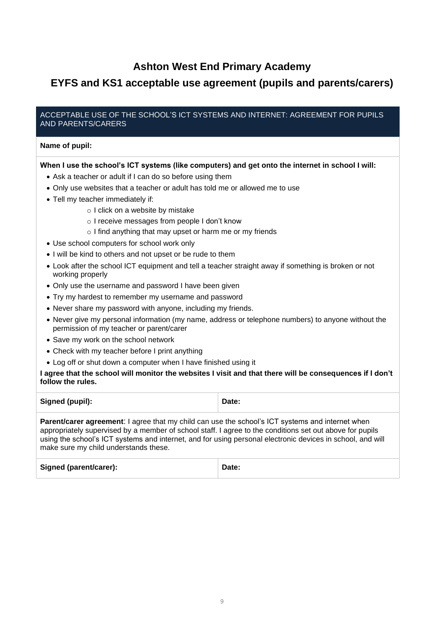# **Ashton West End Primary Academy**

# **EYFS and KS1 acceptable use agreement (pupils and parents/carers)**

#### ACCEPTABLE USE OF THE SCHOOL'S ICT SYSTEMS AND INTERNET: AGREEMENT FOR PUPILS AND PARENTS/CARERS

#### **Name of pupil:**

#### **When I use the school's ICT systems (like computers) and get onto the internet in school I will:**

- Ask a teacher or adult if I can do so before using them
- Only use websites that a teacher or adult has told me or allowed me to use
- Tell my teacher immediately if:
	- o I click on a website by mistake
	- o I receive messages from people I don't know
	- o I find anything that may upset or harm me or my friends
- Use school computers for school work only
- I will be kind to others and not upset or be rude to them
- Look after the school ICT equipment and tell a teacher straight away if something is broken or not working properly
- Only use the username and password I have been given
- Try my hardest to remember my username and password
- Never share my password with anyone, including my friends.
- Never give my personal information (my name, address or telephone numbers) to anyone without the permission of my teacher or parent/carer
- Save my work on the school network
- Check with my teacher before I print anything
- Log off or shut down a computer when I have finished using it

#### **I agree that the school will monitor the websites I visit and that there will be consequences if I don't follow the rules.**

| Signed (pupil):                                                                                                                                                                                                                                                                                  | Date: |
|--------------------------------------------------------------------------------------------------------------------------------------------------------------------------------------------------------------------------------------------------------------------------------------------------|-------|
| $\mathbf{u}$ in $\mathbf{A}$ is the set of $\mathbf{A}$<br>$\blacksquare$ , and the second contract of the second contract of the second contract of the second contract of the second contract of the second contract of the second contract of the second contract of the second contract of t |       |

**Parent/carer agreement:** I agree that my child can use the school's ICT systems and internet when appropriately supervised by a member of school staff. I agree to the conditions set out above for pupils using the school's ICT systems and internet, and for using personal electronic devices in school, and will make sure my child understands these.

| Signed (parent/carer):<br>Date: |  |
|---------------------------------|--|
|---------------------------------|--|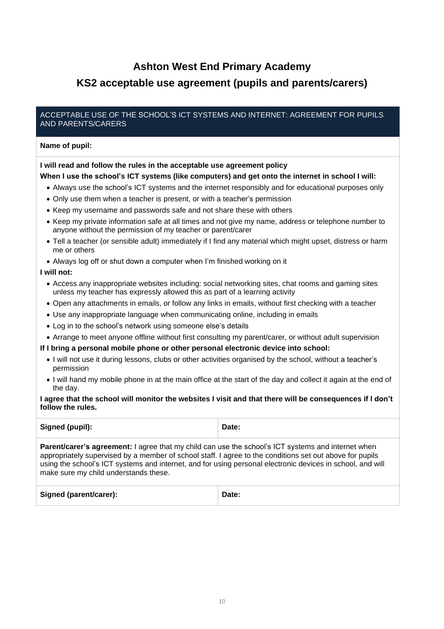# **Ashton West End Primary Academy**

# **KS2 acceptable use agreement (pupils and parents/carers)**

#### ACCEPTABLE USE OF THE SCHOOL'S ICT SYSTEMS AND INTERNET: AGREEMENT FOR PUPILS AND PARENTS/CARERS

#### **Name of pupil:**

#### **I will read and follow the rules in the acceptable use agreement policy**

#### **When I use the school's ICT systems (like computers) and get onto the internet in school I will:**

- Always use the school's ICT systems and the internet responsibly and for educational purposes only
- Only use them when a teacher is present, or with a teacher's permission
- Keep my username and passwords safe and not share these with others
- Keep my private information safe at all times and not give my name, address or telephone number to anyone without the permission of my teacher or parent/carer
- Tell a teacher (or sensible adult) immediately if I find any material which might upset, distress or harm me or others
- Always log off or shut down a computer when I'm finished working on it

#### **I will not:**

- Access any inappropriate websites including: social networking sites, chat rooms and gaming sites unless my teacher has expressly allowed this as part of a learning activity
- Open any attachments in emails, or follow any links in emails, without first checking with a teacher
- Use any inappropriate language when communicating online, including in emails
- Log in to the school's network using someone else's details
- Arrange to meet anyone offline without first consulting my parent/carer, or without adult supervision

#### **If I bring a personal mobile phone or other personal electronic device into school:**

- I will not use it during lessons, clubs or other activities organised by the school, without a teacher's permission
- I will hand my mobile phone in at the main office at the start of the day and collect it again at the end of the day.

#### **I agree that the school will monitor the websites I visit and that there will be consequences if I don't follow the rules.**

| <b>Signed (pupil):</b> | Date: |
|------------------------|-------|
|                        |       |

**Parent/carer's agreement:** I agree that my child can use the school's ICT systems and internet when appropriately supervised by a member of school staff. I agree to the conditions set out above for pupils using the school's ICT systems and internet, and for using personal electronic devices in school, and will make sure my child understands these.

| Signed (parent/carer): | Date: |
|------------------------|-------|
|------------------------|-------|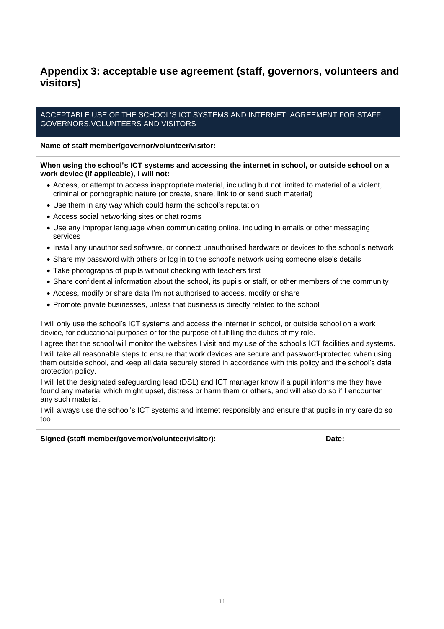# **Appendix 3: acceptable use agreement (staff, governors, volunteers and visitors)**

#### ACCEPTABLE USE OF THE SCHOOL'S ICT SYSTEMS AND INTERNET: AGREEMENT FOR STAFF, GOVERNORS,VOLUNTEERS AND VISITORS

#### **Name of staff member/governor/volunteer/visitor:**

#### **When using the school's ICT systems and accessing the internet in school, or outside school on a work device (if applicable), I will not:**

- Access, or attempt to access inappropriate material, including but not limited to material of a violent, criminal or pornographic nature (or create, share, link to or send such material)
- Use them in any way which could harm the school's reputation
- Access social networking sites or chat rooms
- Use any improper language when communicating online, including in emails or other messaging services
- Install any unauthorised software, or connect unauthorised hardware or devices to the school's network
- Share my password with others or log in to the school's network using someone else's details
- Take photographs of pupils without checking with teachers first
- Share confidential information about the school, its pupils or staff, or other members of the community
- Access, modify or share data I'm not authorised to access, modify or share
- Promote private businesses, unless that business is directly related to the school

I will only use the school's ICT systems and access the internet in school, or outside school on a work device, for educational purposes or for the purpose of fulfilling the duties of my role.

I agree that the school will monitor the websites I visit and my use of the school's ICT facilities and systems. I will take all reasonable steps to ensure that work devices are secure and password-protected when using them outside school, and keep all data securely stored in accordance with this policy and the school's data protection policy.

I will let the designated safeguarding lead (DSL) and ICT manager know if a pupil informs me they have found any material which might upset, distress or harm them or others, and will also do so if I encounter any such material.

I will always use the school's ICT systems and internet responsibly and ensure that pupils in my care do so too.

| Signed (staff member/governor/volunteer/visitor): | Date: |
|---------------------------------------------------|-------|
|---------------------------------------------------|-------|